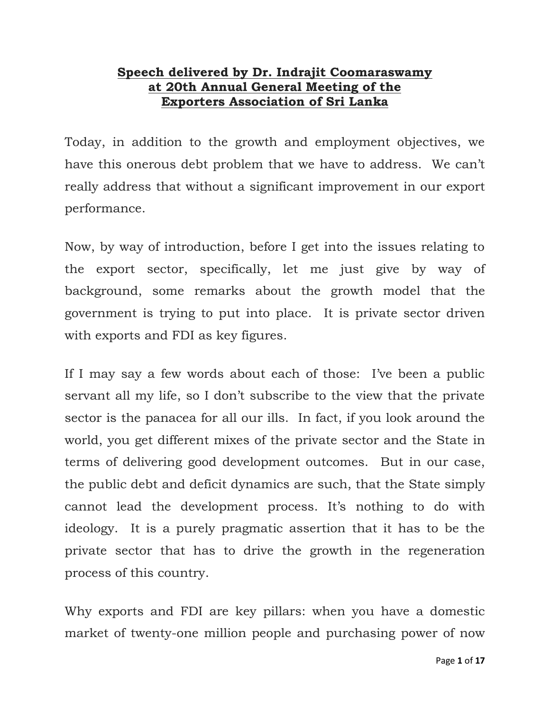## **Speech delivered by Dr. Indrajit Coomaraswamy at 20th Annual General Meeting of the Exporters Association of Sri Lanka**

Today, in addition to the growth and employment objectives, we have this onerous debt problem that we have to address. We can't really address that without a significant improvement in our export performance.

Now, by way of introduction, before I get into the issues relating to the export sector, specifically, let me just give by way of background, some remarks about the growth model that the government is trying to put into place. It is private sector driven with exports and FDI as key figures.

If I may say a few words about each of those: I've been a public servant all my life, so I don't subscribe to the view that the private sector is the panacea for all our ills. In fact, if you look around the world, you get different mixes of the private sector and the State in terms of delivering good development outcomes. But in our case, the public debt and deficit dynamics are such, that the State simply cannot lead the development process. It's nothing to do with ideology. It is a purely pragmatic assertion that it has to be the private sector that has to drive the growth in the regeneration process of this country.

Why exports and FDI are key pillars: when you have a domestic market of twenty-one million people and purchasing power of now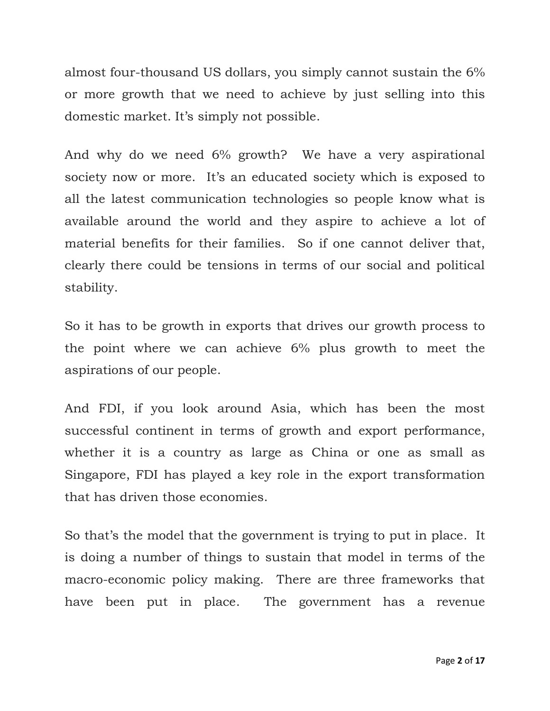almost four-thousand US dollars, you simply cannot sustain the 6% or more growth that we need to achieve by just selling into this domestic market. It's simply not possible.

And why do we need 6% growth? We have a very aspirational society now or more. It's an educated society which is exposed to all the latest communication technologies so people know what is available around the world and they aspire to achieve a lot of material benefits for their families. So if one cannot deliver that, clearly there could be tensions in terms of our social and political stability.

So it has to be growth in exports that drives our growth process to the point where we can achieve 6% plus growth to meet the aspirations of our people.

And FDI, if you look around Asia, which has been the most successful continent in terms of growth and export performance, whether it is a country as large as China or one as small as Singapore, FDI has played a key role in the export transformation that has driven those economies.

So that's the model that the government is trying to put in place. It is doing a number of things to sustain that model in terms of the macro-economic policy making. There are three frameworks that have been put in place. The government has a revenue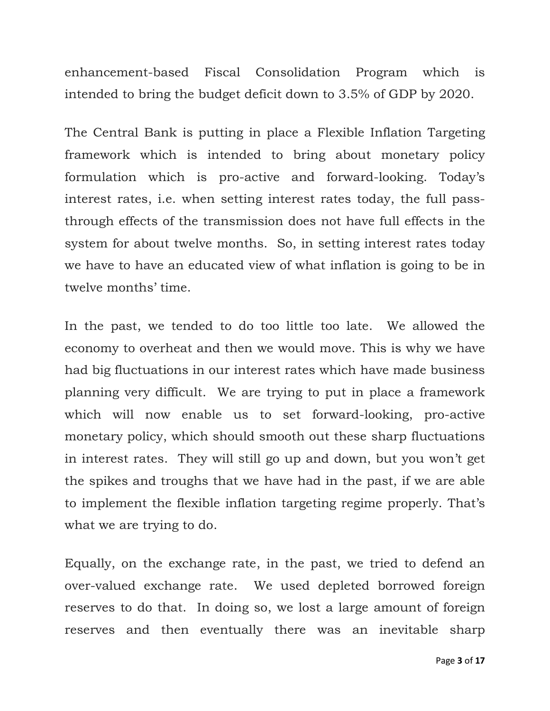enhancement-based Fiscal Consolidation Program which is intended to bring the budget deficit down to 3.5% of GDP by 2020.

The Central Bank is putting in place a Flexible Inflation Targeting framework which is intended to bring about monetary policy formulation which is pro-active and forward-looking. Today's interest rates, i.e. when setting interest rates today, the full passthrough effects of the transmission does not have full effects in the system for about twelve months. So, in setting interest rates today we have to have an educated view of what inflation is going to be in twelve months' time.

In the past, we tended to do too little too late. We allowed the economy to overheat and then we would move. This is why we have had big fluctuations in our interest rates which have made business planning very difficult. We are trying to put in place a framework which will now enable us to set forward-looking, pro-active monetary policy, which should smooth out these sharp fluctuations in interest rates. They will still go up and down, but you won't get the spikes and troughs that we have had in the past, if we are able to implement the flexible inflation targeting regime properly. That's what we are trying to do.

Equally, on the exchange rate, in the past, we tried to defend an over-valued exchange rate. We used depleted borrowed foreign reserves to do that. In doing so, we lost a large amount of foreign reserves and then eventually there was an inevitable sharp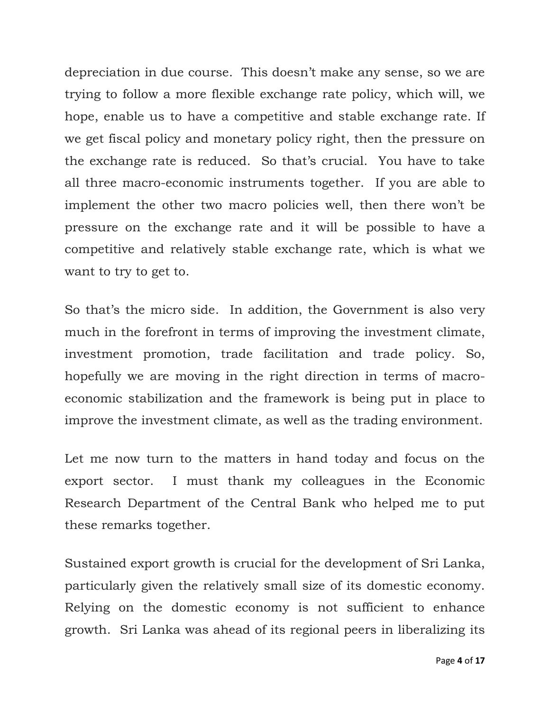depreciation in due course. This doesn't make any sense, so we are trying to follow a more flexible exchange rate policy, which will, we hope, enable us to have a competitive and stable exchange rate. If we get fiscal policy and monetary policy right, then the pressure on the exchange rate is reduced. So that's crucial. You have to take all three macro-economic instruments together. If you are able to implement the other two macro policies well, then there won't be pressure on the exchange rate and it will be possible to have a competitive and relatively stable exchange rate, which is what we want to try to get to.

So that's the micro side. In addition, the Government is also very much in the forefront in terms of improving the investment climate, investment promotion, trade facilitation and trade policy. So, hopefully we are moving in the right direction in terms of macroeconomic stabilization and the framework is being put in place to improve the investment climate, as well as the trading environment.

Let me now turn to the matters in hand today and focus on the export sector. I must thank my colleagues in the Economic Research Department of the Central Bank who helped me to put these remarks together.

Sustained export growth is crucial for the development of Sri Lanka, particularly given the relatively small size of its domestic economy. Relying on the domestic economy is not sufficient to enhance growth. Sri Lanka was ahead of its regional peers in liberalizing its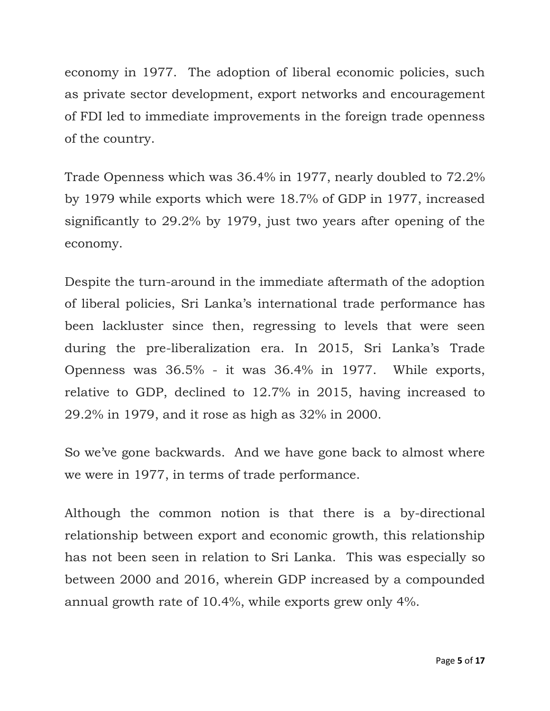economy in 1977. The adoption of liberal economic policies, such as private sector development, export networks and encouragement of FDI led to immediate improvements in the foreign trade openness of the country.

Trade Openness which was 36.4% in 1977, nearly doubled to 72.2% by 1979 while exports which were 18.7% of GDP in 1977, increased significantly to 29.2% by 1979, just two years after opening of the economy.

Despite the turn-around in the immediate aftermath of the adoption of liberal policies, Sri Lanka's international trade performance has been lackluster since then, regressing to levels that were seen during the pre-liberalization era. In 2015, Sri Lanka's Trade Openness was 36.5% - it was 36.4% in 1977. While exports, relative to GDP, declined to 12.7% in 2015, having increased to 29.2% in 1979, and it rose as high as 32% in 2000.

So we've gone backwards. And we have gone back to almost where we were in 1977, in terms of trade performance.

Although the common notion is that there is a by-directional relationship between export and economic growth, this relationship has not been seen in relation to Sri Lanka. This was especially so between 2000 and 2016, wherein GDP increased by a compounded annual growth rate of 10.4%, while exports grew only 4%.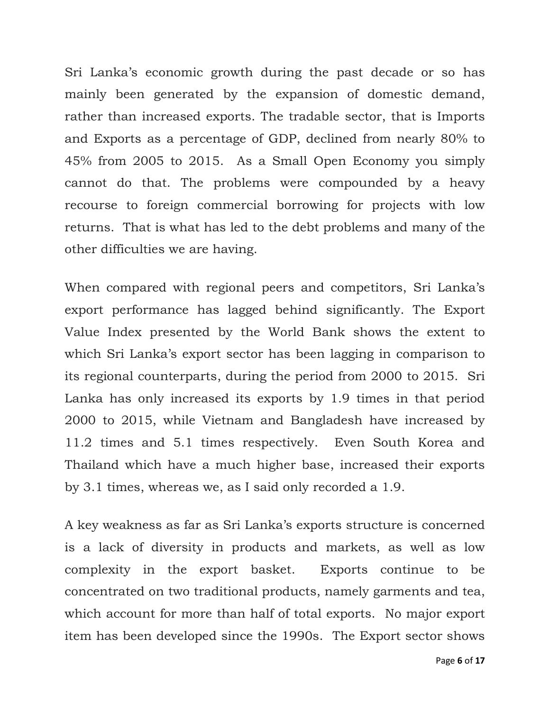Sri Lanka's economic growth during the past decade or so has mainly been generated by the expansion of domestic demand, rather than increased exports. The tradable sector, that is Imports and Exports as a percentage of GDP, declined from nearly 80% to 45% from 2005 to 2015. As a Small Open Economy you simply cannot do that. The problems were compounded by a heavy recourse to foreign commercial borrowing for projects with low returns. That is what has led to the debt problems and many of the other difficulties we are having.

When compared with regional peers and competitors, Sri Lanka's export performance has lagged behind significantly. The Export Value Index presented by the World Bank shows the extent to which Sri Lanka's export sector has been lagging in comparison to its regional counterparts, during the period from 2000 to 2015. Sri Lanka has only increased its exports by 1.9 times in that period 2000 to 2015, while Vietnam and Bangladesh have increased by 11.2 times and 5.1 times respectively. Even South Korea and Thailand which have a much higher base, increased their exports by 3.1 times, whereas we, as I said only recorded a 1.9.

A key weakness as far as Sri Lanka's exports structure is concerned is a lack of diversity in products and markets, as well as low complexity in the export basket. Exports continue to be concentrated on two traditional products, namely garments and tea, which account for more than half of total exports. No major export item has been developed since the 1990s. The Export sector shows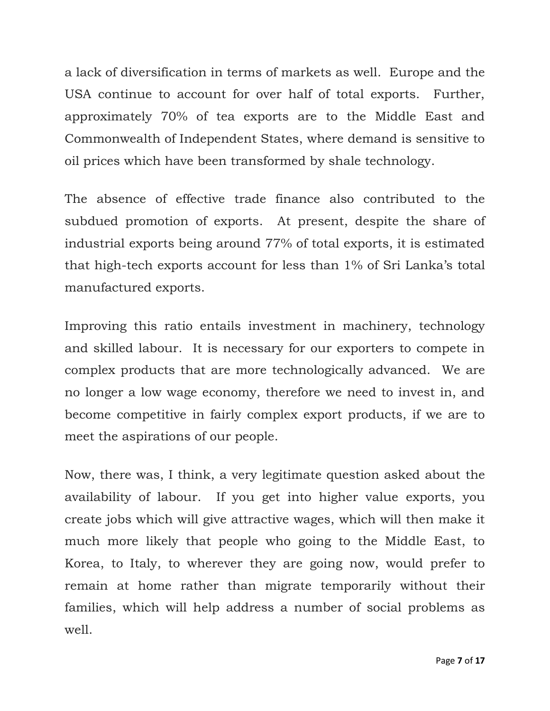a lack of diversification in terms of markets as well. Europe and the USA continue to account for over half of total exports. Further, approximately 70% of tea exports are to the Middle East and Commonwealth of Independent States, where demand is sensitive to oil prices which have been transformed by shale technology.

The absence of effective trade finance also contributed to the subdued promotion of exports. At present, despite the share of industrial exports being around 77% of total exports, it is estimated that high-tech exports account for less than 1% of Sri Lanka's total manufactured exports.

Improving this ratio entails investment in machinery, technology and skilled labour. It is necessary for our exporters to compete in complex products that are more technologically advanced. We are no longer a low wage economy, therefore we need to invest in, and become competitive in fairly complex export products, if we are to meet the aspirations of our people.

Now, there was, I think, a very legitimate question asked about the availability of labour. If you get into higher value exports, you create jobs which will give attractive wages, which will then make it much more likely that people who going to the Middle East, to Korea, to Italy, to wherever they are going now, would prefer to remain at home rather than migrate temporarily without their families, which will help address a number of social problems as well.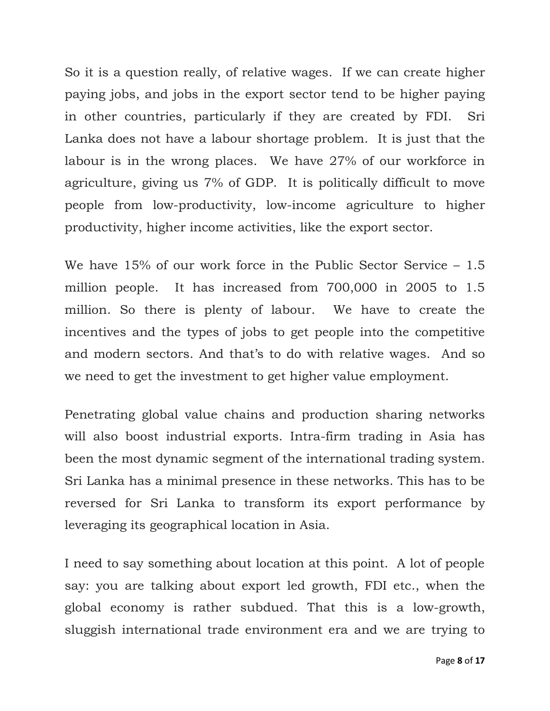So it is a question really, of relative wages. If we can create higher paying jobs, and jobs in the export sector tend to be higher paying in other countries, particularly if they are created by FDI. Sri Lanka does not have a labour shortage problem. It is just that the labour is in the wrong places. We have 27% of our workforce in agriculture, giving us 7% of GDP. It is politically difficult to move people from low-productivity, low-income agriculture to higher productivity, higher income activities, like the export sector.

We have 15% of our work force in the Public Sector Service – 1.5 million people. It has increased from 700,000 in 2005 to 1.5 million. So there is plenty of labour. We have to create the incentives and the types of jobs to get people into the competitive and modern sectors. And that's to do with relative wages. And so we need to get the investment to get higher value employment.

Penetrating global value chains and production sharing networks will also boost industrial exports. Intra-firm trading in Asia has been the most dynamic segment of the international trading system. Sri Lanka has a minimal presence in these networks. This has to be reversed for Sri Lanka to transform its export performance by leveraging its geographical location in Asia.

I need to say something about location at this point. A lot of people say: you are talking about export led growth, FDI etc., when the global economy is rather subdued. That this is a low-growth, sluggish international trade environment era and we are trying to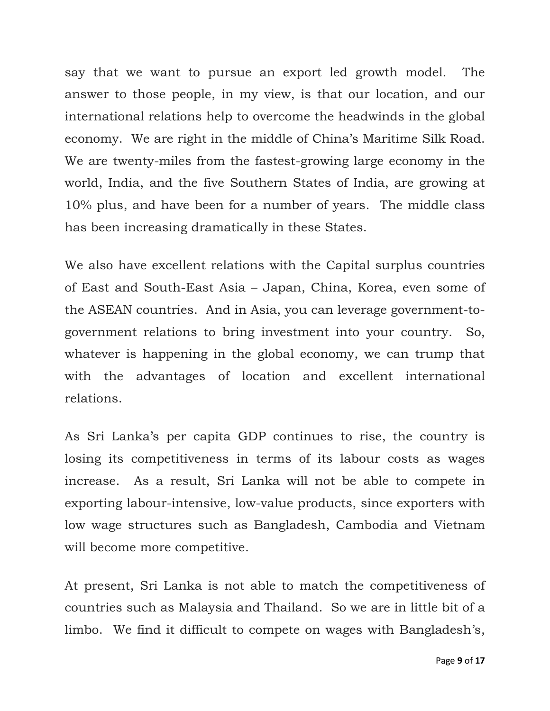say that we want to pursue an export led growth model. The answer to those people, in my view, is that our location, and our international relations help to overcome the headwinds in the global economy. We are right in the middle of China's Maritime Silk Road. We are twenty-miles from the fastest-growing large economy in the world, India, and the five Southern States of India, are growing at 10% plus, and have been for a number of years. The middle class has been increasing dramatically in these States.

We also have excellent relations with the Capital surplus countries of East and South-East Asia – Japan, China, Korea, even some of the ASEAN countries. And in Asia, you can leverage government-togovernment relations to bring investment into your country. So, whatever is happening in the global economy, we can trump that with the advantages of location and excellent international relations.

As Sri Lanka's per capita GDP continues to rise, the country is losing its competitiveness in terms of its labour costs as wages increase. As a result, Sri Lanka will not be able to compete in exporting labour-intensive, low-value products, since exporters with low wage structures such as Bangladesh, Cambodia and Vietnam will become more competitive.

At present, Sri Lanka is not able to match the competitiveness of countries such as Malaysia and Thailand. So we are in little bit of a limbo. We find it difficult to compete on wages with Bangladesh's,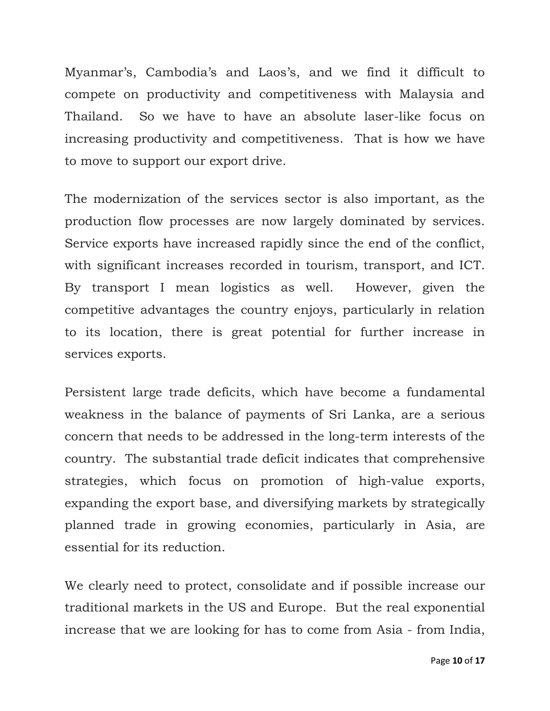Myanmar's, Cambodia's and Laos's, and we find it difficult to compete on productivity and competitiveness with Malaysia and Thailand. So we have to have an absolute laser-like focus on increasing productivity and competitiveness. That is how we have to move to support our export drive.

The modernization of the services sector is also important, as the production flow processes are now largely dominated by services. Service exports have increased rapidly since the end of the conflict, with significant increases recorded in tourism, transport, and ICT. By transport I mean logistics as well. However, given the competitive advantages the country enjoys, particularly in relation to its location, there is great potential for further increase in services exports.

Persistent large trade deficits, which have become a fundamental weakness in the balance of payments of Sri Lanka, are a serious concern that needs to be addressed in the long-term interests of the country. The substantial trade deficit indicates that comprehensive strategies, which focus on promotion of high-value exports, expanding the export base, and diversifying markets by strategically planned trade in growing economies, particularly in Asia, are essential for its reduction.

We clearly need to protect, consolidate and if possible increase our traditional markets in the US and Europe. But the real exponential increase that we are looking for has to come from Asia - from India,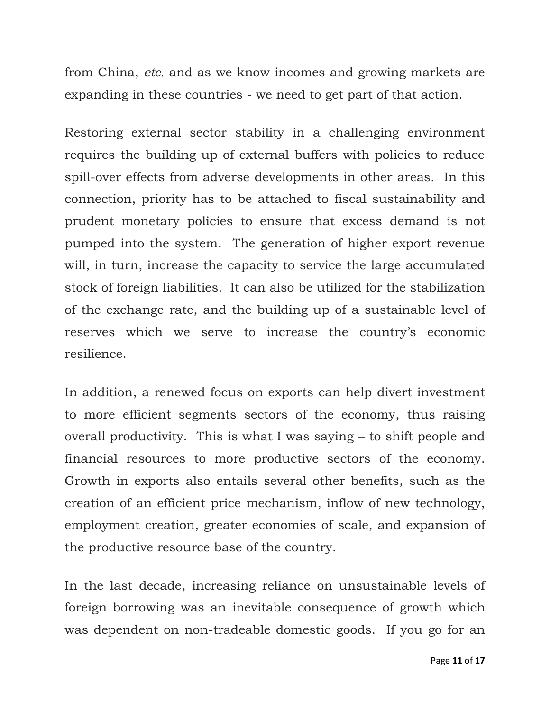from China, *etc.* and as we know incomes and growing markets are expanding in these countries - we need to get part of that action.

Restoring external sector stability in a challenging environment requires the building up of external buffers with policies to reduce spill-over effects from adverse developments in other areas. In this connection, priority has to be attached to fiscal sustainability and prudent monetary policies to ensure that excess demand is not pumped into the system. The generation of higher export revenue will, in turn, increase the capacity to service the large accumulated stock of foreign liabilities. It can also be utilized for the stabilization of the exchange rate, and the building up of a sustainable level of reserves which we serve to increase the country's economic resilience.

In addition, a renewed focus on exports can help divert investment to more efficient segments sectors of the economy, thus raising overall productivity. This is what I was saying – to shift people and financial resources to more productive sectors of the economy. Growth in exports also entails several other benefits, such as the creation of an efficient price mechanism, inflow of new technology, employment creation, greater economies of scale, and expansion of the productive resource base of the country.

In the last decade, increasing reliance on unsustainable levels of foreign borrowing was an inevitable consequence of growth which was dependent on non-tradeable domestic goods. If you go for an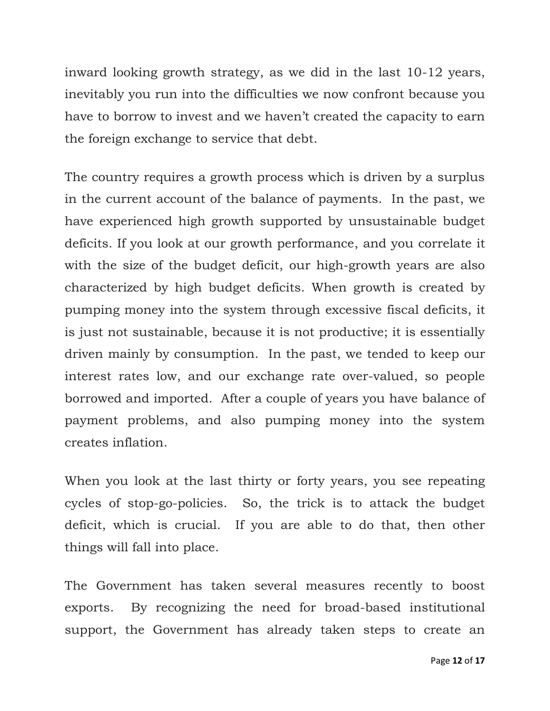inward looking growth strategy, as we did in the last 10-12 years, inevitably you run into the difficulties we now confront because you have to borrow to invest and we haven't created the capacity to earn the foreign exchange to service that debt.

The country requires a growth process which is driven by a surplus in the current account of the balance of payments. In the past, we have experienced high growth supported by unsustainable budget deficits. If you look at our growth performance, and you correlate it with the size of the budget deficit, our high-growth years are also characterized by high budget deficits. When growth is created by pumping money into the system through excessive fiscal deficits, it is just not sustainable, because it is not productive; it is essentially driven mainly by consumption. In the past, we tended to keep our interest rates low, and our exchange rate over-valued, so people borrowed and imported. After a couple of years you have balance of payment problems, and also pumping money into the system creates inflation.

When you look at the last thirty or forty years, you see repeating cycles of stop-go-policies. So, the trick is to attack the budget deficit, which is crucial. If you are able to do that, then other things will fall into place.

The Government has taken several measures recently to boost exports. By recognizing the need for broad-based institutional support, the Government has already taken steps to create an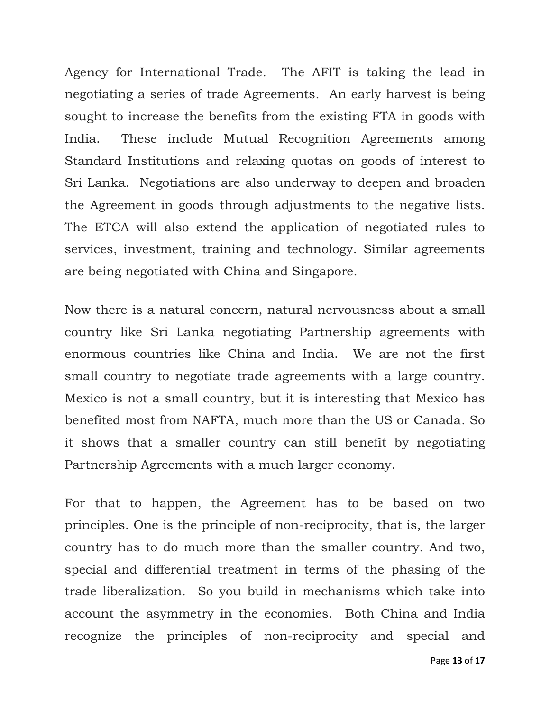Agency for International Trade. The AFIT is taking the lead in negotiating a series of trade Agreements. An early harvest is being sought to increase the benefits from the existing FTA in goods with India. These include Mutual Recognition Agreements among Standard Institutions and relaxing quotas on goods of interest to Sri Lanka. Negotiations are also underway to deepen and broaden the Agreement in goods through adjustments to the negative lists. The ETCA will also extend the application of negotiated rules to services, investment, training and technology. Similar agreements are being negotiated with China and Singapore.

Now there is a natural concern, natural nervousness about a small country like Sri Lanka negotiating Partnership agreements with enormous countries like China and India. We are not the first small country to negotiate trade agreements with a large country. Mexico is not a small country, but it is interesting that Mexico has benefited most from NAFTA, much more than the US or Canada. So it shows that a smaller country can still benefit by negotiating Partnership Agreements with a much larger economy.

For that to happen, the Agreement has to be based on two principles. One is the principle of non-reciprocity, that is, the larger country has to do much more than the smaller country. And two, special and differential treatment in terms of the phasing of the trade liberalization. So you build in mechanisms which take into account the asymmetry in the economies. Both China and India recognize the principles of non-reciprocity and special and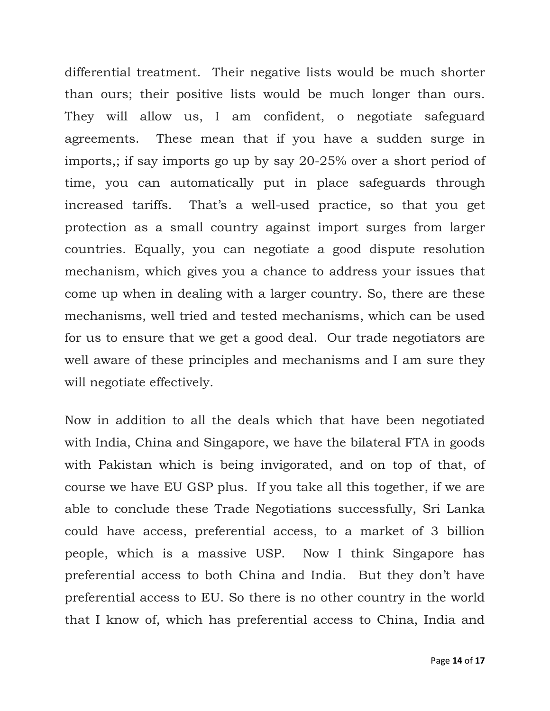differential treatment. Their negative lists would be much shorter than ours; their positive lists would be much longer than ours. They will allow us, I am confident, o negotiate safeguard agreements. These mean that if you have a sudden surge in imports,; if say imports go up by say 20-25% over a short period of time, you can automatically put in place safeguards through increased tariffs. That's a well-used practice, so that you get protection as a small country against import surges from larger countries. Equally, you can negotiate a good dispute resolution mechanism, which gives you a chance to address your issues that come up when in dealing with a larger country. So, there are these mechanisms, well tried and tested mechanisms, which can be used for us to ensure that we get a good deal. Our trade negotiators are well aware of these principles and mechanisms and I am sure they will negotiate effectively.

Now in addition to all the deals which that have been negotiated with India, China and Singapore, we have the bilateral FTA in goods with Pakistan which is being invigorated, and on top of that, of course we have EU GSP plus. If you take all this together, if we are able to conclude these Trade Negotiations successfully, Sri Lanka could have access, preferential access, to a market of 3 billion people, which is a massive USP. Now I think Singapore has preferential access to both China and India. But they don't have preferential access to EU. So there is no other country in the world that I know of, which has preferential access to China, India and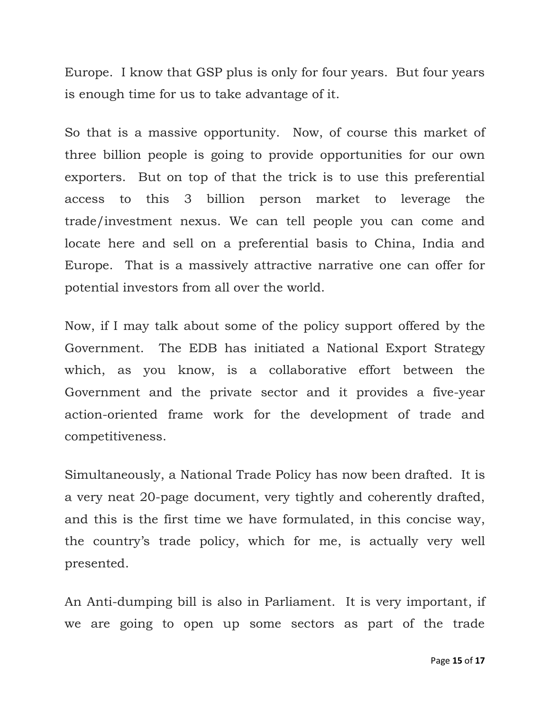Europe. I know that GSP plus is only for four years. But four years is enough time for us to take advantage of it.

So that is a massive opportunity. Now, of course this market of three billion people is going to provide opportunities for our own exporters. But on top of that the trick is to use this preferential access to this 3 billion person market to leverage the trade/investment nexus. We can tell people you can come and locate here and sell on a preferential basis to China, India and Europe. That is a massively attractive narrative one can offer for potential investors from all over the world.

Now, if I may talk about some of the policy support offered by the Government. The EDB has initiated a National Export Strategy which, as you know, is a collaborative effort between the Government and the private sector and it provides a five-year action-oriented frame work for the development of trade and competitiveness.

Simultaneously, a National Trade Policy has now been drafted. It is a very neat 20-page document, very tightly and coherently drafted, and this is the first time we have formulated, in this concise way, the country's trade policy, which for me, is actually very well presented.

An Anti-dumping bill is also in Parliament. It is very important, if we are going to open up some sectors as part of the trade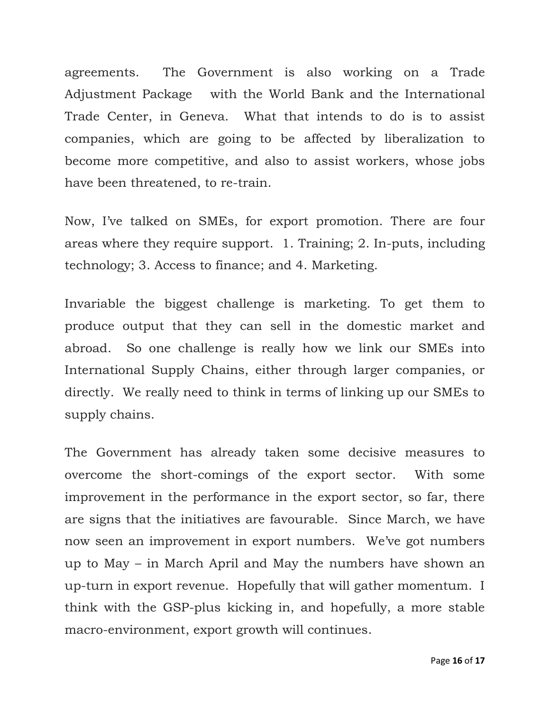agreements. The Government is also working on a Trade Adjustment Package with the World Bank and the International Trade Center, in Geneva. What that intends to do is to assist companies, which are going to be affected by liberalization to become more competitive, and also to assist workers, whose jobs have been threatened, to re-train.

Now, I've talked on SMEs, for export promotion. There are four areas where they require support. 1. Training; 2. In-puts, including technology; 3. Access to finance; and 4. Marketing.

Invariable the biggest challenge is marketing. To get them to produce output that they can sell in the domestic market and abroad. So one challenge is really how we link our SMEs into International Supply Chains, either through larger companies, or directly. We really need to think in terms of linking up our SMEs to supply chains.

The Government has already taken some decisive measures to overcome the short-comings of the export sector. With some improvement in the performance in the export sector, so far, there are signs that the initiatives are favourable. Since March, we have now seen an improvement in export numbers. We've got numbers up to May – in March April and May the numbers have shown an up-turn in export revenue. Hopefully that will gather momentum. I think with the GSP-plus kicking in, and hopefully, a more stable macro-environment, export growth will continues.